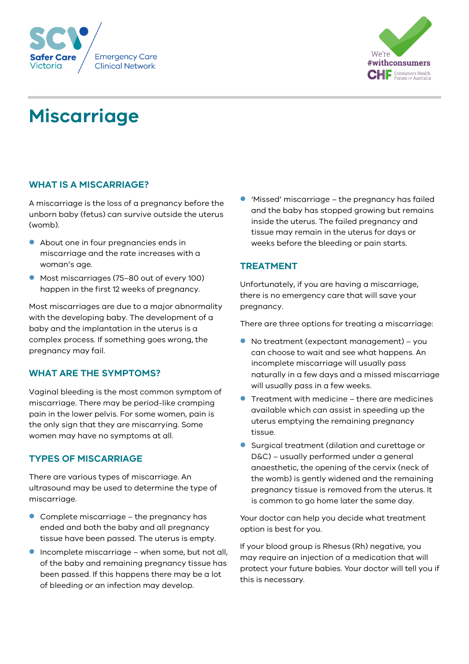



# **Miscarriage**

# **WHAT IS A MISCARRIAGE?**

A miscarriage is the loss of a pregnancy before the unborn baby (fetus) can survive outside the uterus (womb).

- About one in four pregnancies ends in miscarriage and the rate increases with a woman's age.
- **Most miscarriages (75–80 out of every 100)** happen in the first 12 weeks of pregnancy.

Most miscarriages are due to a major abnormality with the developing baby. The development of a baby and the implantation in the uterus is a complex process. If something goes wrong, the pregnancy may fail.

## **WHAT ARE THE SYMPTOMS?**

Vaginal bleeding is the most common symptom of miscarriage. There may be period-like cramping pain in the lower pelvis. For some women, pain is the only sign that they are miscarrying. Some women may have no symptoms at all.

# **TYPES OF MISCARRIAGE**

There are various types of miscarriage. An ultrasound may be used to determine the type of miscarriage.

- Complete miscarriage the pregnancy has ended and both the baby and all pregnancy tissue have been passed. The uterus is empty.
- $\bullet$  Incomplete miscarriage when some, but not all, of the baby and remaining pregnancy tissue has been passed. If this happens there may be a lot of bleeding or an infection may develop.

 'Missed' miscarriage – the pregnancy has failed and the baby has stopped growing but remains inside the uterus. The failed pregnancy and tissue may remain in the uterus for days or weeks before the bleeding or pain starts.

# **TREATMENT**

Unfortunately, if you are having a miscarriage, there is no emergency care that will save your pregnancy.

There are three options for treating a miscarriage:

- No treatment (expectant management) you can choose to wait and see what happens. An incomplete miscarriage will usually pass naturally in a few days and a missed miscarriage will usually pass in a few weeks.
- Treatment with medicine there are medicines available which can assist in speeding up the uterus emptying the remaining pregnancy tissue.
- **Surgical treatment (dilation and curettage or** D&C) – usually performed under a general anaesthetic, the opening of the cervix (neck of the womb) is gently widened and the remaining pregnancy tissue is removed from the uterus. It is common to go home later the same day.

Your doctor can help you decide what treatment option is best for you.

If your blood group is Rhesus (Rh) negative*,* you may require an injection of a medication that will protect your future babies. Your doctor will tell you if this is necessary.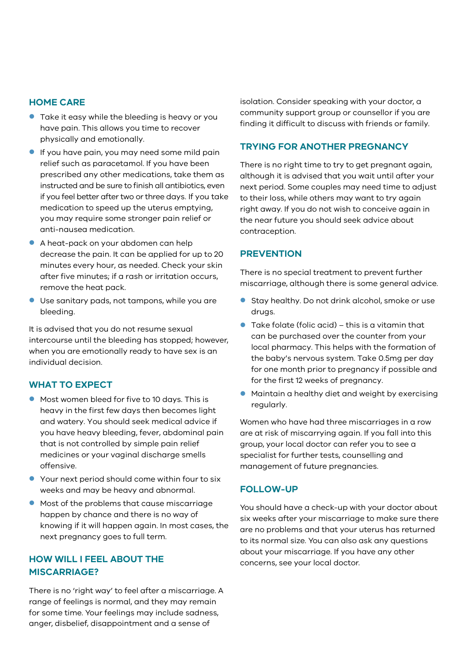#### **HOME CARE**

- **Take it easy while the bleeding is heavy or you** have pain. This allows you time to recover physically and emotionally.
- **If you have pain, you may need some mild pain** relief such as paracetamol. If you have been prescribed any other medications, take them as instructed and be sure to finish all antibiotics, even if you feel better after two or three days. If you take medication to speed up the uterus emptying, you may require some stronger pain relief or anti-nausea medication.
- A heat-pack on your abdomen can help decrease the pain. It can be applied for up to 20 minutes every hour, as needed. Check your skin after five minutes; if a rash or irritation occurs, remove the heat pack.
- Use sanitary pads, not tampons, while you are bleeding.

It is advised that you do not resume sexual intercourse until the bleeding has stopped; however, when you are emotionally ready to have sex is an individual decision.

## **WHAT TO EXPECT**

- Most women bleed for five to 10 days. This is heavy in the first few days then becomes light and watery. You should seek medical advice if you have heavy bleeding, fever, abdominal pain that is not controlled by simple pain relief medicines or your vaginal discharge smells offensive.
- Your next period should come within four to six weeks and may be heavy and abnormal.
- $\bullet$  Most of the problems that cause miscarriage happen by chance and there is no way of knowing if it will happen again. In most cases, the next pregnancy goes to full term.

# **HOW WILL I FEEL ABOUT THE MISCARRIAGE?**

There is no 'right way' to feel after a miscarriage. A range of feelings is normal, and they may remain for some time. Your feelings may include sadness, anger, disbelief, disappointment and a sense of

isolation. Consider speaking with your doctor, a community support group or counsellor if you are finding it difficult to discuss with friends or family.

#### **TRYING FOR ANOTHER PREGNANCY**

There is no right time to try to get pregnant again, although it is advised that you wait until after your next period. Some couples may need time to adjust to their loss, while others may want to try again right away. If you do not wish to conceive again in the near future you should seek advice about contraception.

#### **PREVENTION**

There is no special treatment to prevent further miscarriage, although there is some general advice.

- Stay healthy. Do not drink alcohol, smoke or use drugs.
- $\bullet$  Take folate (folic acid) this is a vitamin that can be purchased over the counter from your local pharmacy. This helps with the formation of the baby's nervous system. Take 0.5mg per day for one month prior to pregnancy if possible and for the first 12 weeks of pregnancy.
- Maintain a healthy diet and weight by exercising regularly.

Women who have had three miscarriages in a row are at risk of miscarrying again. If you fall into this group, your local doctor can refer you to see a specialist for further tests, counselling and management of future pregnancies.

## **FOLLOW-UP**

You should have a check-up with your doctor about six weeks after your miscarriage to make sure there are no problems and that your uterus has returned to its normal size. You can also ask any questions about your miscarriage. If you have any other concerns, see your local doctor.